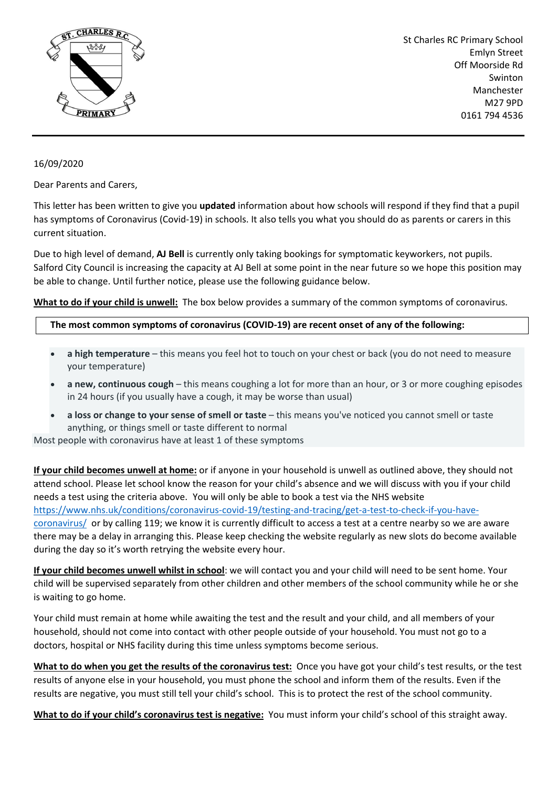

St Charles RC Primary School Emlyn Street Off Moorside Rd Swinton Manchester M27 9PD 0161 794 4536

## 16/09/2020

Dear Parents and Carers,

This letter has been written to give you **updated** information about how schools will respond if they find that a pupil has symptoms of Coronavirus (Covid-19) in schools. It also tells you what you should do as parents or carers in this current situation.

Due to high level of demand, **AJ Bell** is currently only taking bookings for symptomatic keyworkers, not pupils. Salford City Council is increasing the capacity at AJ Bell at some point in the near future so we hope this position may be able to change. Until further notice, please use the following guidance below.

**What to do if your child is unwell:** The box below provides a summary of the common symptoms of coronavirus.

## **The most common symptoms of coronavirus (COVID-19) are recent onset of any of the following:**

- **a high temperature** this means you feel hot to touch on your chest or back (you do not need to measure your temperature)
- **a new, continuous cough** this means coughing a lot for more than an hour, or 3 or more coughing episodes in 24 hours (if you usually have a cough, it may be worse than usual)
- **a loss or change to your sense of smell or taste** this means you've noticed you cannot smell or taste anything, or things smell or taste different to normal

Most people with coronavirus have at least 1 of these symptoms

**If your child becomes unwell at home:** or if anyone in your household is unwell as outlined above, they should not attend school. Please let school know the reason for your child's absence and we will discuss with you if your child needs a test using the criteria above. You will only be able to book a test via the NHS website [https://www.nhs.uk/conditions/coronavirus-covid-19/testing-and-tracing/get-a-test-to-check-if-you-have](https://www.nhs.uk/conditions/coronavirus-covid-19/testing-and-tracing/get-a-test-to-check-if-you-have-coronavirus/)[coronavirus/](https://www.nhs.uk/conditions/coronavirus-covid-19/testing-and-tracing/get-a-test-to-check-if-you-have-coronavirus/) or by calling 119; we know it is currently difficult to access a test at a centre nearby so we are aware there may be a delay in arranging this. Please keep checking the website regularly as new slots do become available during the day so it's worth retrying the website every hour.

**If your child becomes unwell whilst in school**: we will contact you and your child will need to be sent home. Your child will be supervised separately from other children and other members of the school community while he or she is waiting to go home.

Your child must remain at home while awaiting the test and the result and your child, and all members of your household, should not come into contact with other people outside of your household. You must not go to a doctors, hospital or NHS facility during this time unless symptoms become serious.

**What to do when you get the results of the coronavirus test:** Once you have got your child's test results, or the test results of anyone else in your household, you must phone the school and inform them of the results. Even if the results are negative, you must still tell your child's school. This is to protect the rest of the school community.

**What to do if your child's coronavirus test is negative:** You must inform your child's school of this straight away.